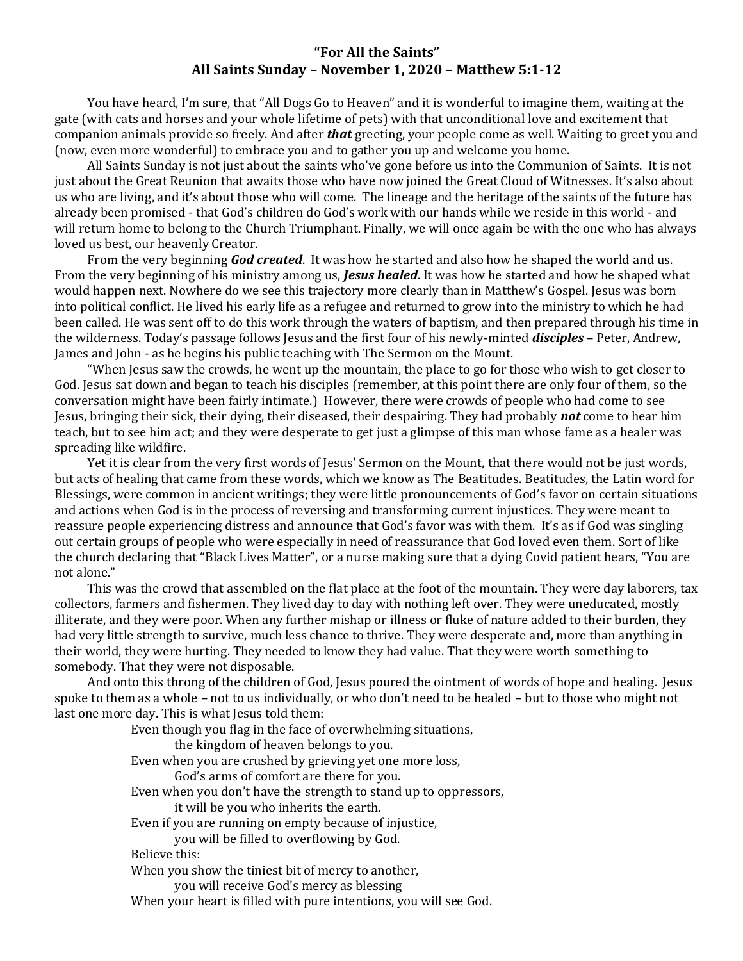## **"For All the Saints" All Saints Sunday – November 1, 2020 – Matthew 5:1-12**

You have heard, I'm sure, that "All Dogs Go to Heaven" and it is wonderful to imagine them, waiting at the gate (with cats and horses and your whole lifetime of pets) with that unconditional love and excitement that companion animals provide so freely. And after *that* greeting, your people come as well. Waiting to greet you and (now, even more wonderful) to embrace you and to gather you up and welcome you home.

All Saints Sunday is not just about the saints who've gone before us into the Communion of Saints. It is not just about the Great Reunion that awaits those who have now joined the Great Cloud of Witnesses. It's also about us who are living, and it's about those who will come. The lineage and the heritage of the saints of the future has already been promised - that God's children do God's work with our hands while we reside in this world - and will return home to belong to the Church Triumphant. Finally, we will once again be with the one who has always loved us best, our heavenly Creator.

From the very beginning *God created*. It was how he started and also how he shaped the world and us. From the very beginning of his ministry among us, *Jesus healed*. It was how he started and how he shaped what would happen next. Nowhere do we see this trajectory more clearly than in Matthew's Gospel. Jesus was born into political conflict. He lived his early life as a refugee and returned to grow into the ministry to which he had been called. He was sent off to do this work through the waters of baptism, and then prepared through his time in the wilderness. Today's passage follows Jesus and the first four of his newly-minted *disciples* – Peter, Andrew, James and John - as he begins his public teaching with The Sermon on the Mount.

"When Jesus saw the crowds, he went up the mountain, the place to go for those who wish to get closer to God. Jesus sat down and began to teach his disciples (remember, at this point there are only four of them, so the conversation might have been fairly intimate.) However, there were crowds of people who had come to see Jesus, bringing their sick, their dying, their diseased, their despairing. They had probably *not* come to hear him teach, but to see him act; and they were desperate to get just a glimpse of this man whose fame as a healer was spreading like wildfire.

Yet it is clear from the very first words of Jesus' Sermon on the Mount, that there would not be just words, but acts of healing that came from these words, which we know as The Beatitudes. Beatitudes, the Latin word for Blessings, were common in ancient writings; they were little pronouncements of God's favor on certain situations and actions when God is in the process of reversing and transforming current injustices. They were meant to reassure people experiencing distress and announce that God's favor was with them. It's as if God was singling out certain groups of people who were especially in need of reassurance that God loved even them. Sort of like the church declaring that "Black Lives Matter", or a nurse making sure that a dying Covid patient hears, "You are not alone."

This was the crowd that assembled on the flat place at the foot of the mountain. They were day laborers, tax collectors, farmers and fishermen. They lived day to day with nothing left over. They were uneducated, mostly illiterate, and they were poor. When any further mishap or illness or fluke of nature added to their burden, they had very little strength to survive, much less chance to thrive. They were desperate and, more than anything in their world, they were hurting. They needed to know they had value. That they were worth something to somebody. That they were not disposable.

And onto this throng of the children of God, Jesus poured the ointment of words of hope and healing. Jesus spoke to them as a whole – not to us individually, or who don't need to be healed – but to those who might not last one more day. This is what Jesus told them:

Even though you flag in the face of overwhelming situations,

the kingdom of heaven belongs to you.

Even when you are crushed by grieving yet one more loss,

God's arms of comfort are there for you.

Even when you don't have the strength to stand up to oppressors,

it will be you who inherits the earth.

Even if you are running on empty because of injustice,

you will be filled to overflowing by God.

Believe this:

When you show the tiniest bit of mercy to another,

you will receive God's mercy as blessing

When your heart is filled with pure intentions, you will see God.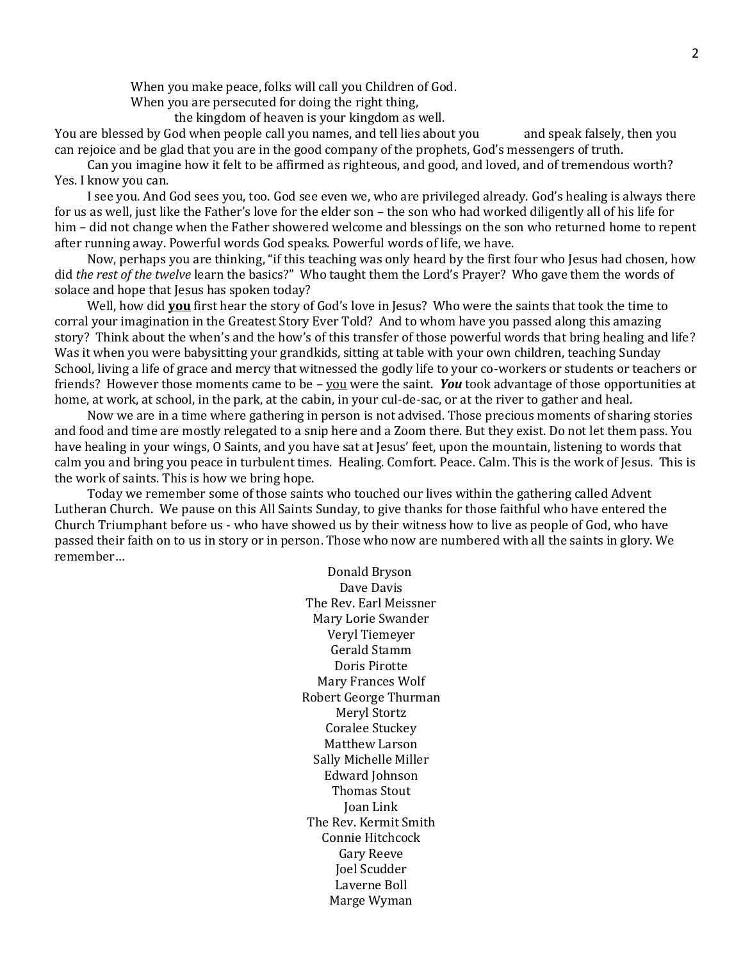When you make peace, folks will call you Children of God.

When you are persecuted for doing the right thing.

the kingdom of heaven is your kingdom as well.

You are blessed by God when people call you names, and tell lies about you and speak falsely, then you can rejoice and be glad that you are in the good company of the prophets, God's messengers of truth.

Can you imagine how it felt to be affirmed as righteous, and good, and loved, and of tremendous worth? Yes. I know you can.

I see you. And God sees you, too. God see even we, who are privileged already. God's healing is always there for us as well, just like the Father's love for the elder son – the son who had worked diligently all of his life for him – did not change when the Father showered welcome and blessings on the son who returned home to repent after running away. Powerful words God speaks. Powerful words of life, we have.

Now, perhaps you are thinking, "if this teaching was only heard by the first four who Jesus had chosen, how did *the rest of the twelve* learn the basics?" Who taught them the Lord's Prayer? Who gave them the words of solace and hope that Jesus has spoken today?

Well, how did **you** first hear the story of God's love in Jesus? Who were the saints that took the time to corral your imagination in the Greatest Story Ever Told? And to whom have you passed along this amazing story? Think about the when's and the how's of this transfer of those powerful words that bring healing and life? Was it when you were babysitting your grandkids, sitting at table with your own children, teaching Sunday School, living a life of grace and mercy that witnessed the godly life to your co-workers or students or teachers or friends? However those moments came to be – you were the saint. You took advantage of those opportunities at home, at work, at school, in the park, at the cabin, in your cul-de-sac, or at the river to gather and heal.

Now we are in a time where gathering in person is not advised. Those precious moments of sharing stories and food and time are mostly relegated to a snip here and a Zoom there. But they exist. Do not let them pass. You have healing in your wings, O Saints, and you have sat at Jesus' feet, upon the mountain, listening to words that calm you and bring you peace in turbulent times. Healing. Comfort. Peace. Calm. This is the work of Jesus. This is the work of saints. This is how we bring hope.

Today we remember some of those saints who touched our lives within the gathering called Advent Lutheran Church. We pause on this All Saints Sunday, to give thanks for those faithful who have entered the Church Triumphant before us - who have showed us by their witness how to live as people of God, who have passed their faith on to us in story or in person. Those who now are numbered with all the saints in glory. We remember…

> Donald Bryson Dave Davis The Rev. Earl Meissner Mary Lorie Swander Veryl Tiemeyer Gerald Stamm Doris Pirotte Mary Frances Wolf Robert George Thurman Meryl Stortz Coralee Stuckey Matthew Larson Sally Michelle Miller Edward Johnson Thomas Stout Joan Link The Rev. Kermit Smith Connie Hitchcock Gary Reeve Joel Scudder Laverne Boll Marge Wyman